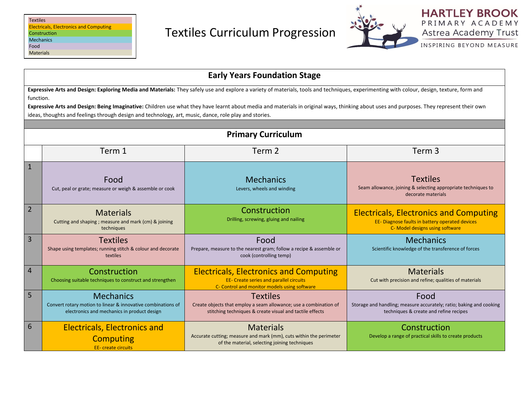| <b>Textiles</b>                               |
|-----------------------------------------------|
| <b>Electricals, Electronics and Computing</b> |
| Construction                                  |
| <b>Mechanics</b>                              |
| Food                                          |
| <b>Materials</b>                              |
|                                               |



**HARTLEY BROOK** PRIMARY ACADEMY Astrea Academy Trust

INSPIRING BEYOND MEASURE

|                | <b>Early Years Foundation Stage</b>                                                                                                                                                                                                                                                                                                                                                                                                                                                                         |                                                                                                                                                  |                                                                                                                                     |  |  |
|----------------|-------------------------------------------------------------------------------------------------------------------------------------------------------------------------------------------------------------------------------------------------------------------------------------------------------------------------------------------------------------------------------------------------------------------------------------------------------------------------------------------------------------|--------------------------------------------------------------------------------------------------------------------------------------------------|-------------------------------------------------------------------------------------------------------------------------------------|--|--|
|                | Expressive Arts and Design: Exploring Media and Materials: They safely use and explore a variety of materials, tools and techniques, experimenting with colour, design, texture, form and<br>function.<br>Expressive Arts and Design: Being Imaginative: Children use what they have learnt about media and materials in original ways, thinking about uses and purposes. They represent their own<br>ideas, thoughts and feelings through design and technology, art, music, dance, role play and stories. |                                                                                                                                                  |                                                                                                                                     |  |  |
|                |                                                                                                                                                                                                                                                                                                                                                                                                                                                                                                             | <b>Primary Curriculum</b>                                                                                                                        |                                                                                                                                     |  |  |
|                |                                                                                                                                                                                                                                                                                                                                                                                                                                                                                                             |                                                                                                                                                  |                                                                                                                                     |  |  |
|                | Term 1                                                                                                                                                                                                                                                                                                                                                                                                                                                                                                      | Term 2                                                                                                                                           | Term <sub>3</sub>                                                                                                                   |  |  |
| $\mathbf{1}$   | Food<br>Cut, peal or grate; measure or weigh & assemble or cook                                                                                                                                                                                                                                                                                                                                                                                                                                             | <b>Mechanics</b><br>Levers, wheels and winding                                                                                                   | <b>Textiles</b><br>Seam allowance, joining & selecting appropriate techniques to<br>decorate materials                              |  |  |
| $\overline{2}$ | <b>Materials</b><br>Cutting and shaping; measure and mark (cm) & joining<br>techniques                                                                                                                                                                                                                                                                                                                                                                                                                      | Construction<br>Drilling, screwing, gluing and nailing                                                                                           | <b>Electricals, Electronics and Computing</b><br>EE- Diagnose faults in battery operated devices<br>C- Model designs using software |  |  |
| 3              | <b>Textiles</b><br>Shape using templates; running stitch & colour and decorate<br>textiles                                                                                                                                                                                                                                                                                                                                                                                                                  | Food<br>Prepare, measure to the nearest gram; follow a recipe & assemble or<br>cook (controlling temp)                                           | <b>Mechanics</b><br>Scientific knowledge of the transference of forces                                                              |  |  |
| $\overline{4}$ | Construction<br>Choosing suitable techniques to construct and strengthen                                                                                                                                                                                                                                                                                                                                                                                                                                    | <b>Electricals, Electronics and Computing</b><br><b>EE- Create series and parallel circuits</b><br>C- Control and monitor models using software  | <b>Materials</b><br>Cut with precision and refine; qualities of materials                                                           |  |  |
| 5              | <b>Mechanics</b><br>Convert rotary motion to linear & innovative combinations of<br>electronics and mechanics in product design                                                                                                                                                                                                                                                                                                                                                                             | <b>Textiles</b><br>Create objects that employ a seam allowance; use a combination of<br>stitching techniques & create visual and tactile effects | Food<br>Storage and handling; measure accurately; ratio; baking and cooking<br>techniques & create and refine recipes               |  |  |
| 6              | <b>Electricals, Electronics and</b><br><b>Computing</b><br><b>EE-</b> create circuits                                                                                                                                                                                                                                                                                                                                                                                                                       | <b>Materials</b><br>Accurate cutting; measure and mark (mm), cuts within the perimeter<br>of the material, selecting joining techniques          | Construction<br>Develop a range of practical skills to create products                                                              |  |  |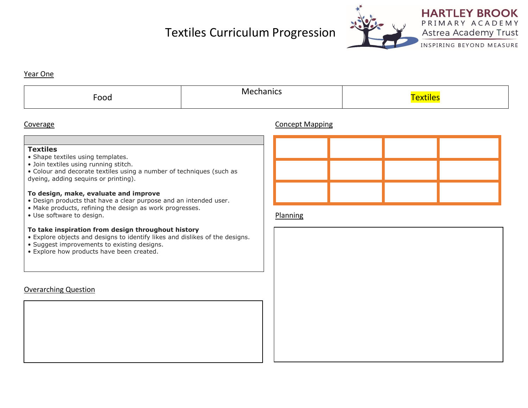

**HARTLEY BROOK** PRIMARY ACADEMY Astrea Academy Trust

INSPIRING BEYOND MEASURE

#### Year One

| Food | בטוויי |  |
|------|--------|--|
|------|--------|--|

### Coverage Concept Mapping

#### **Textiles**

- Shape textiles using templates.
- Join textiles using running stitch.
- Colour and decorate textiles using a number of techniques (such as dyeing, adding sequins or printing).

#### **To design, make, evaluate and improve**

- Design products that have a clear purpose and an intended user.
- Make products, refining the design as work progresses.
- Use software to design.

#### **To take inspiration from design throughout history**

- Explore objects and designs to identify likes and dislikes of the designs.
- Suggest improvements to existing designs.
- Explore how products have been created.

## Overarching Question

#### Planning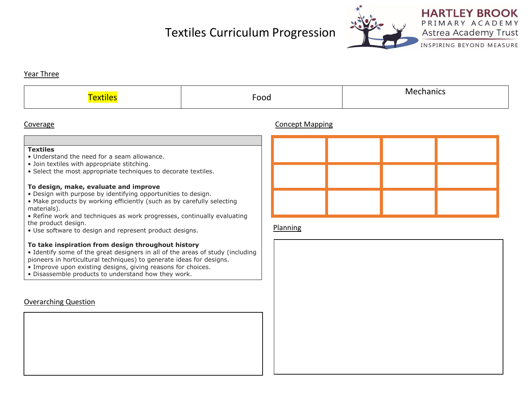

**HARTLEY BROOK** PRIMARY ACADEMY Astrea Academy Trust

INSPIRING BEYOND MEASURE

#### Year Three

|--|--|--|

#### Coverage Concept Mapping

#### **Textiles**

- Understand the need for a seam allowance.
- Join textiles with appropriate stitching.
- Select the most appropriate techniques to decorate textiles.

#### **To design, make, evaluate and improve**

- Design with purpose by identifying opportunities to design.
- Make products by working efficiently (such as by carefully selecting materials).
- Refine work and techniques as work progresses, continually evaluating the product design.
- Use software to design and represent product designs.

#### **To take inspiration from design throughout history**

- Identify some of the great designers in all of the areas of study (including pioneers in horticultural techniques) to generate ideas for designs.
- Improve upon existing designs, giving reasons for choices.
- Disassemble products to understand how they work.

### Overarching Question



#### Planning